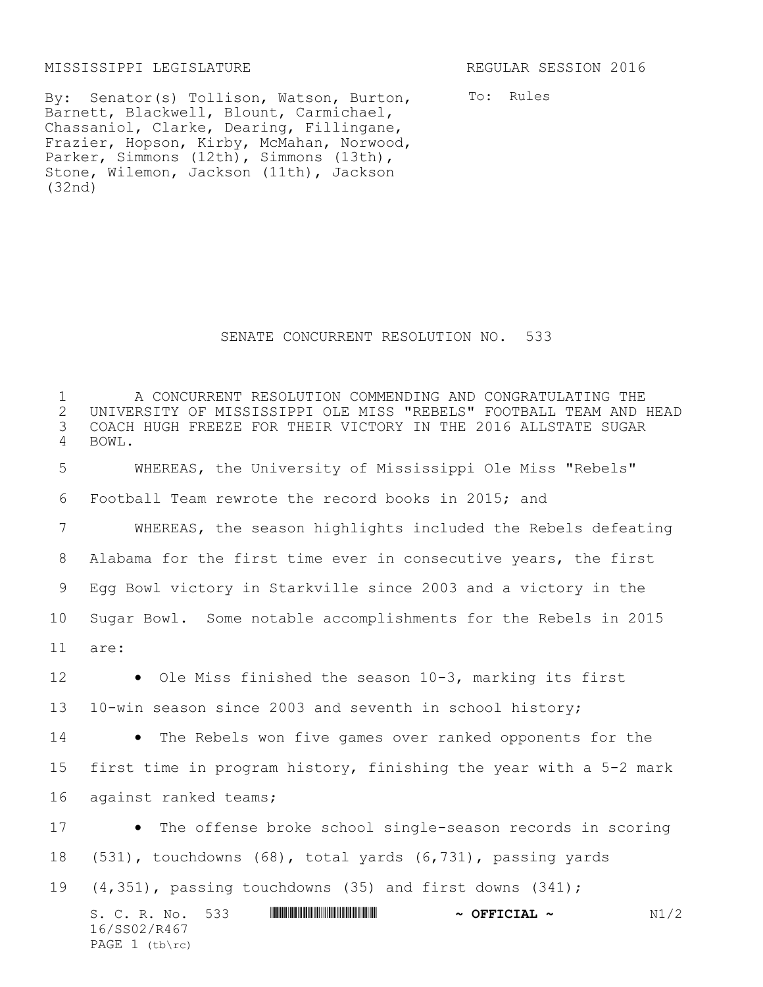## MISSISSIPPI LEGISLATURE REGULAR SESSION 2016

PAGE  $1$  (tb\rc)

By: Senator(s) Tollison, Watson, Burton, Barnett, Blackwell, Blount, Carmichael, Chassaniol, Clarke, Dearing, Fillingane, Frazier, Hopson, Kirby, McMahan, Norwood, Parker, Simmons (12th), Simmons (13th), Stone, Wilemon, Jackson (11th), Jackson (32nd)

To: Rules

## SENATE CONCURRENT RESOLUTION NO. 533

S. C. R. No. 533 **\*\*\* ANIE AND ASSEMBLE TO A PETCIAL ~**  $\sim$  **N1/2** 16/SS02/R467 A CONCURRENT RESOLUTION COMMENDING AND CONGRATULATING THE 2 UNIVERSITY OF MISSISSIPPI OLE MISS "REBELS" FOOTBALL TEAM AND HEAD<br>3 COACH HUGH FREEZE FOR THEIR VICTORY IN THE 2016 ALLSTATE SUGAR COACH HUGH FREEZE FOR THEIR VICTORY IN THE 2016 ALLSTATE SUGAR 4 BOWL. WHEREAS, the University of Mississippi Ole Miss "Rebels" Football Team rewrote the record books in 2015; and WHEREAS, the season highlights included the Rebels defeating Alabama for the first time ever in consecutive years, the first Egg Bowl victory in Starkville since 2003 and a victory in the Sugar Bowl. Some notable accomplishments for the Rebels in 2015 11 are: 12 • Ole Miss finished the season 10-3, marking its first 10-win season since 2003 and seventh in school history; 14 • The Rebels won five games over ranked opponents for the first time in program history, finishing the year with a 5-2 mark against ranked teams; 17 • The offense broke school single-season records in scoring (531), touchdowns (68), total yards (6,731), passing yards (4,351), passing touchdowns (35) and first downs (341);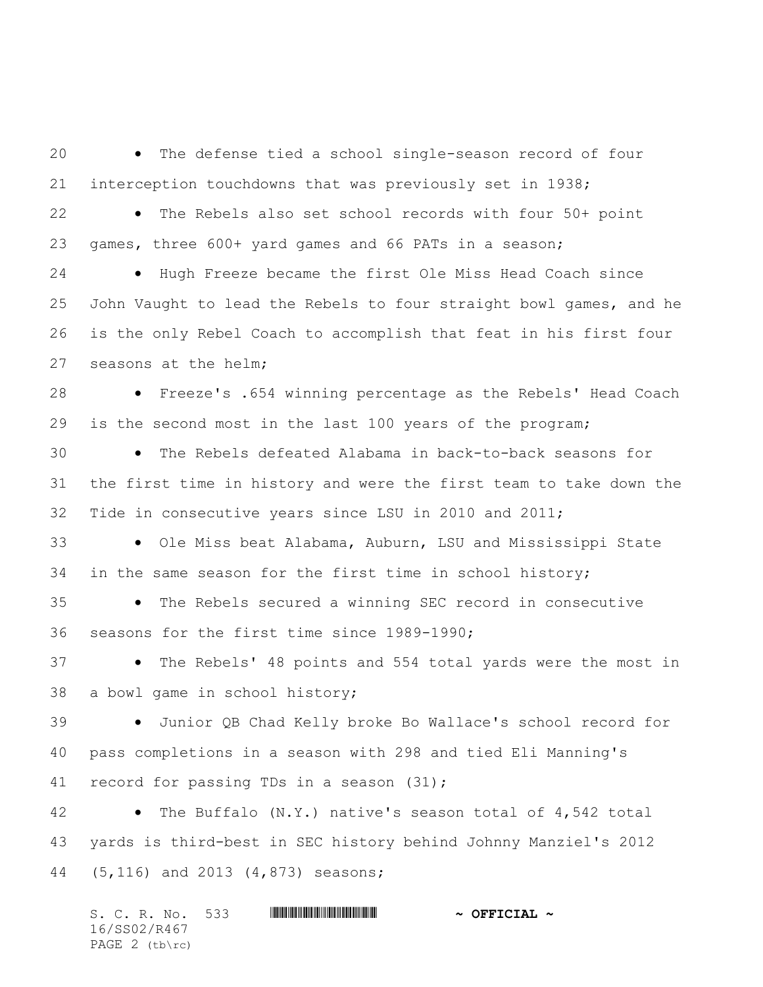The defense tied a school single-season record of four interception touchdowns that was previously set in 1938; 22 • The Rebels also set school records with four 50+ point games, three 600+ yard games and 66 PATs in a season; 24 • Hugh Freeze became the first Ole Miss Head Coach since John Vaught to lead the Rebels to four straight bowl games, and he is the only Rebel Coach to accomplish that feat in his first four seasons at the helm; Freeze's .654 winning percentage as the Rebels' Head Coach is the second most in the last 100 years of the program; The Rebels defeated Alabama in back-to-back seasons for the first time in history and were the first team to take down the Tide in consecutive years since LSU in 2010 and 2011; 33 • Ole Miss beat Alabama, Auburn, LSU and Mississippi State in the same season for the first time in school history; 35 • The Rebels secured a winning SEC record in consecutive seasons for the first time since 1989-1990; 37 • The Rebels' 48 points and 554 total yards were the most in a bowl game in school history; Junior QB Chad Kelly broke Bo Wallace's school record for pass completions in a season with 298 and tied Eli Manning's 41 record for passing TDs in a season (31); The Buffalo (N.Y.) native's season total of 4,542 total yards is third-best in SEC history behind Johnny Manziel's 2012 (5,116) and 2013 (4,873) seasons;

S. C. R. No. 533 \*SS02/R467\* **~ OFFICIAL ~** 16/SS02/R467 PAGE 2 (tb\rc)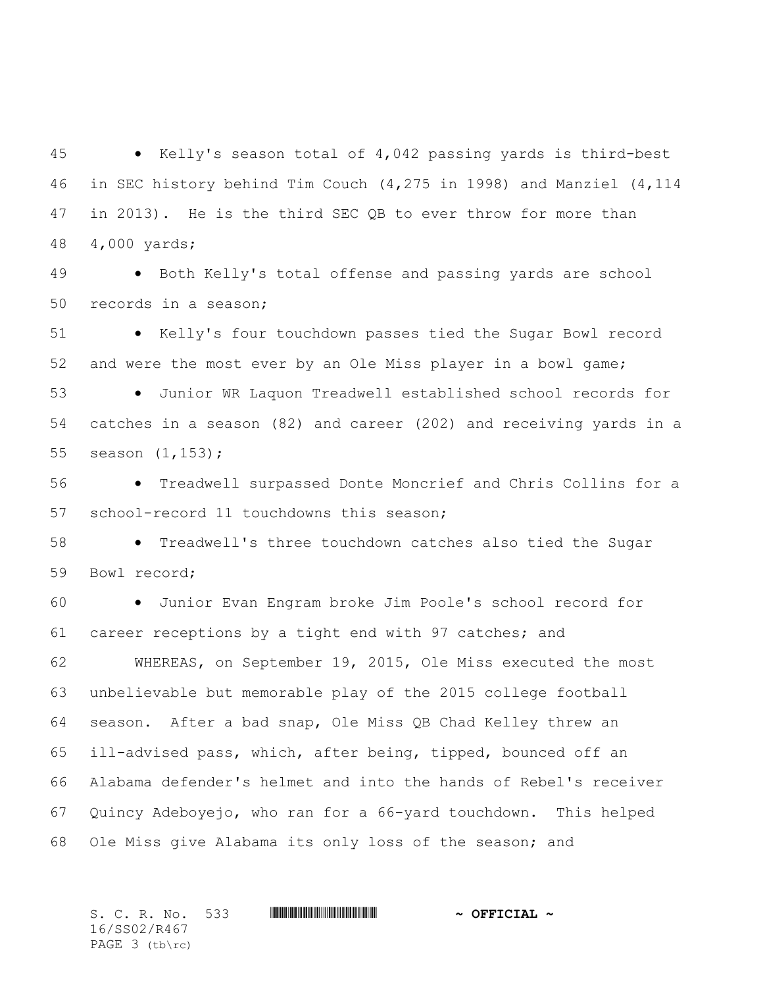Kelly's season total of 4,042 passing yards is third-best in SEC history behind Tim Couch (4,275 in 1998) and Manziel (4,114 in 2013). He is the third SEC QB to ever throw for more than 4,000 yards;

49 • Both Kelly's total offense and passing yards are school records in a season;

 Kelly's four touchdown passes tied the Sugar Bowl record and were the most ever by an Ole Miss player in a bowl game;

 Junior WR Laquon Treadwell established school records for catches in a season (82) and career (202) and receiving yards in a season (1,153);

 Treadwell surpassed Donte Moncrief and Chris Collins for a school-record 11 touchdowns this season;

 Treadwell's three touchdown catches also tied the Sugar Bowl record;

 Junior Evan Engram broke Jim Poole's school record for career receptions by a tight end with 97 catches; and

 WHEREAS, on September 19, 2015, Ole Miss executed the most unbelievable but memorable play of the 2015 college football season. After a bad snap, Ole Miss QB Chad Kelley threw an ill-advised pass, which, after being, tipped, bounced off an Alabama defender's helmet and into the hands of Rebel's receiver Quincy Adeboyejo, who ran for a 66-yard touchdown. This helped Ole Miss give Alabama its only loss of the season; and

S. C. R. No. 533 \*SS02/R467\* **~ OFFICIAL ~** 16/SS02/R467 PAGE 3 (tb\rc)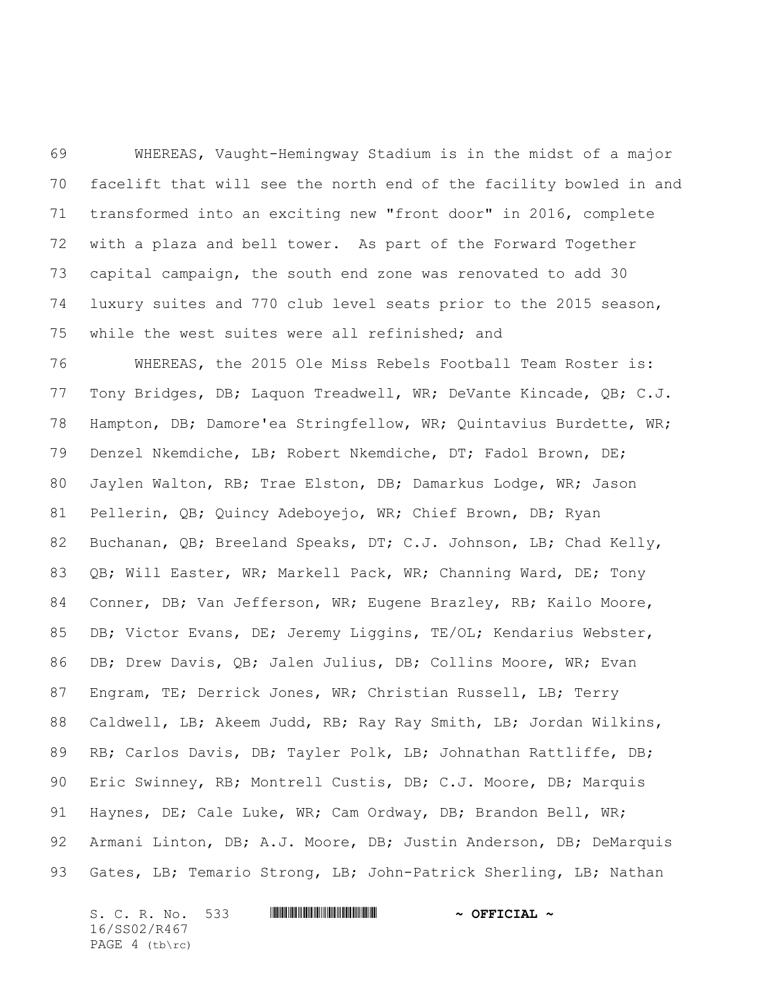WHEREAS, Vaught-Hemingway Stadium is in the midst of a major facelift that will see the north end of the facility bowled in and transformed into an exciting new "front door" in 2016, complete with a plaza and bell tower. As part of the Forward Together capital campaign, the south end zone was renovated to add 30 luxury suites and 770 club level seats prior to the 2015 season, while the west suites were all refinished; and

 WHEREAS, the 2015 Ole Miss Rebels Football Team Roster is: Tony Bridges, DB; Laquon Treadwell, WR; DeVante Kincade, QB; C.J. Hampton, DB; Damore'ea Stringfellow, WR; Quintavius Burdette, WR; Denzel Nkemdiche, LB; Robert Nkemdiche, DT; Fadol Brown, DE; Jaylen Walton, RB; Trae Elston, DB; Damarkus Lodge, WR; Jason Pellerin, QB; Quincy Adeboyejo, WR; Chief Brown, DB; Ryan Buchanan, QB; Breeland Speaks, DT; C.J. Johnson, LB; Chad Kelly, QB; Will Easter, WR; Markell Pack, WR; Channing Ward, DE; Tony Conner, DB; Van Jefferson, WR; Eugene Brazley, RB; Kailo Moore, DB; Victor Evans, DE; Jeremy Liggins, TE/OL; Kendarius Webster, DB; Drew Davis, QB; Jalen Julius, DB; Collins Moore, WR; Evan 87 Engram, TE; Derrick Jones, WR; Christian Russell, LB; Terry Caldwell, LB; Akeem Judd, RB; Ray Ray Smith, LB; Jordan Wilkins, RB; Carlos Davis, DB; Tayler Polk, LB; Johnathan Rattliffe, DB; Eric Swinney, RB; Montrell Custis, DB; C.J. Moore, DB; Marquis Haynes, DE; Cale Luke, WR; Cam Ordway, DB; Brandon Bell, WR; 92 Armani Linton, DB; A.J. Moore, DB; Justin Anderson, DB; DeMarquis Gates, LB; Temario Strong, LB; John-Patrick Sherling, LB; Nathan

S. C. R. No. 533 **WILLIAM CONTRACT & OFFICIAL ~** 16/SS02/R467 PAGE 4 (tb\rc)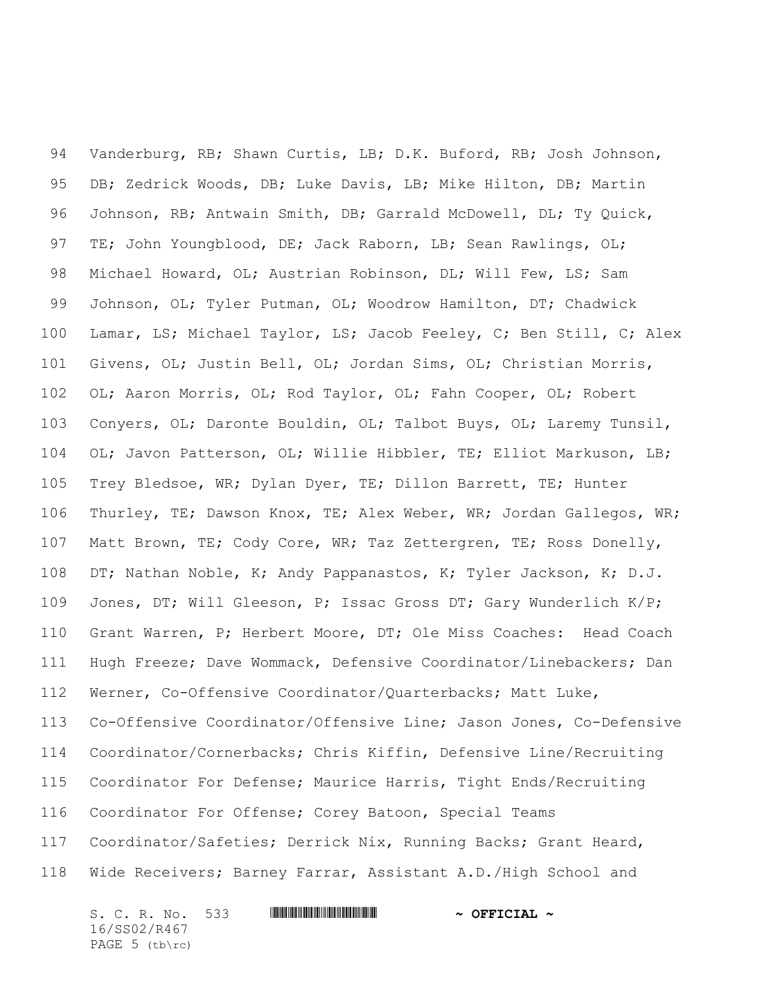Vanderburg, RB; Shawn Curtis, LB; D.K. Buford, RB; Josh Johnson, DB; Zedrick Woods, DB; Luke Davis, LB; Mike Hilton, DB; Martin Johnson, RB; Antwain Smith, DB; Garrald McDowell, DL; Ty Quick, TE; John Youngblood, DE; Jack Raborn, LB; Sean Rawlings, OL; Michael Howard, OL; Austrian Robinson, DL; Will Few, LS; Sam Johnson, OL; Tyler Putman, OL; Woodrow Hamilton, DT; Chadwick Lamar, LS; Michael Taylor, LS; Jacob Feeley, C; Ben Still, C; Alex Givens, OL; Justin Bell, OL; Jordan Sims, OL; Christian Morris, OL; Aaron Morris, OL; Rod Taylor, OL; Fahn Cooper, OL; Robert Conyers, OL; Daronte Bouldin, OL; Talbot Buys, OL; Laremy Tunsil, OL; Javon Patterson, OL; Willie Hibbler, TE; Elliot Markuson, LB; Trey Bledsoe, WR; Dylan Dyer, TE; Dillon Barrett, TE; Hunter Thurley, TE; Dawson Knox, TE; Alex Weber, WR; Jordan Gallegos, WR; Matt Brown, TE; Cody Core, WR; Taz Zettergren, TE; Ross Donelly, DT; Nathan Noble, K; Andy Pappanastos, K; Tyler Jackson, K; D.J. 109 Jones, DT; Will Gleeson, P; Issac Gross DT; Gary Wunderlich K/P; Grant Warren, P; Herbert Moore, DT; Ole Miss Coaches: Head Coach Hugh Freeze; Dave Wommack, Defensive Coordinator/Linebackers; Dan Werner, Co-Offensive Coordinator/Quarterbacks; Matt Luke, Co-Offensive Coordinator/Offensive Line; Jason Jones, Co-Defensive Coordinator/Cornerbacks; Chris Kiffin, Defensive Line/Recruiting Coordinator For Defense; Maurice Harris, Tight Ends/Recruiting Coordinator For Offense; Corey Batoon, Special Teams Coordinator/Safeties; Derrick Nix, Running Backs; Grant Heard, Wide Receivers; Barney Farrar, Assistant A.D./High School and

S. C. R. No. 533 **WILLIAM CONTRACT & OFFICIAL ~** 16/SS02/R467 PAGE 5 (tb\rc)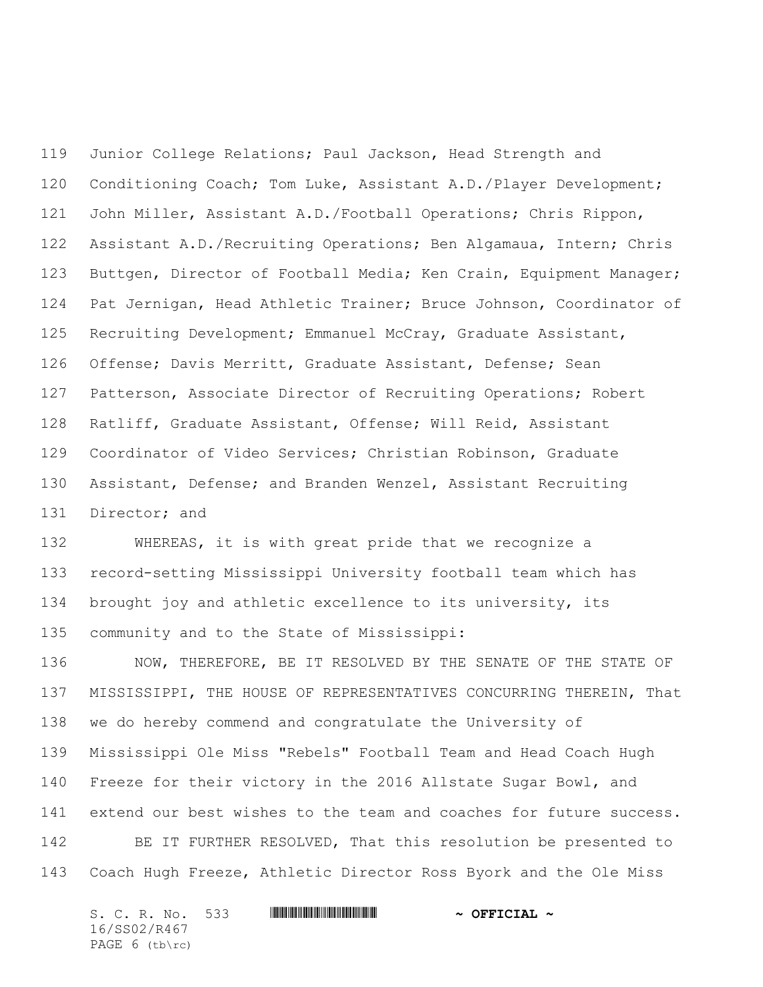Junior College Relations; Paul Jackson, Head Strength and Conditioning Coach; Tom Luke, Assistant A.D./Player Development; John Miller, Assistant A.D./Football Operations; Chris Rippon, Assistant A.D./Recruiting Operations; Ben Algamaua, Intern; Chris Buttgen, Director of Football Media; Ken Crain, Equipment Manager; Pat Jernigan, Head Athletic Trainer; Bruce Johnson, Coordinator of Recruiting Development; Emmanuel McCray, Graduate Assistant, Offense; Davis Merritt, Graduate Assistant, Defense; Sean Patterson, Associate Director of Recruiting Operations; Robert Ratliff, Graduate Assistant, Offense; Will Reid, Assistant Coordinator of Video Services; Christian Robinson, Graduate Assistant, Defense; and Branden Wenzel, Assistant Recruiting 131 Director; and

 WHEREAS, it is with great pride that we recognize a record-setting Mississippi University football team which has brought joy and athletic excellence to its university, its community and to the State of Mississippi:

 NOW, THEREFORE, BE IT RESOLVED BY THE SENATE OF THE STATE OF MISSISSIPPI, THE HOUSE OF REPRESENTATIVES CONCURRING THEREIN, That we do hereby commend and congratulate the University of Mississippi Ole Miss "Rebels" Football Team and Head Coach Hugh Freeze for their victory in the 2016 Allstate Sugar Bowl, and 141 extend our best wishes to the team and coaches for future success. BE IT FURTHER RESOLVED, That this resolution be presented to Coach Hugh Freeze, Athletic Director Ross Byork and the Ole Miss

| S. C. R. No. 533 | $\sim$ OFFICIAL $\sim$ |
|------------------|------------------------|
| 16/SS02/R467     |                        |
| PAGE $6$ (tb\rc) |                        |